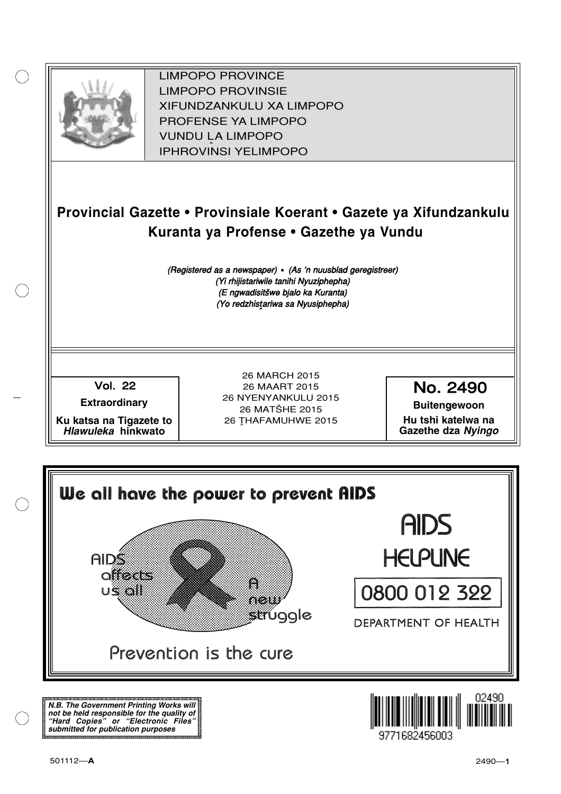

XIFUNDZANKULU XA LIMPOPO<br>PROFENCE XA LIMPORO PROFENSE YA LIMPOPO<br>WILDOLLA LIMPORO SOUTH A LIMPOPO<br>A LIPHROVINSI YELIMPOPO LIMPOPO PROVINCE LIMPOPO PROVINSIE IPHROVINSI YELIMPOPO

# **Provincial Gazette • Provinsiale Koerant • Gazete ya Xifundzankulu Kuranta ya Profense • Gazethe ya Vundu**

(Registered as a newspaper) • (As 'n nuusblad geregistreer) (Yi rhijistariwile tanihi Nyuziphepha) (E ngwadisitšwe bjalo ka Kuranta) (Yo redzhistariwa sa Nyusiphepha)

Vol.- 22

**Extraordinary**

**Ku katsa na Tigazete to Hlawuleka hinkwato**

26 MARCH 2015 26 MAART 2015 26 NYENYANKULU 2015 26 MATŠHE 2015 26 THAFAMUHWE 2015

No. 2490

**Buitengewoon Hu tshi katelwa na Gazethe dza Nyingo**



**N.B. The Government Printing Works will not be held responsible for the quality of "Hard Copies" or "Electronic Files" submitted for publication purposes**

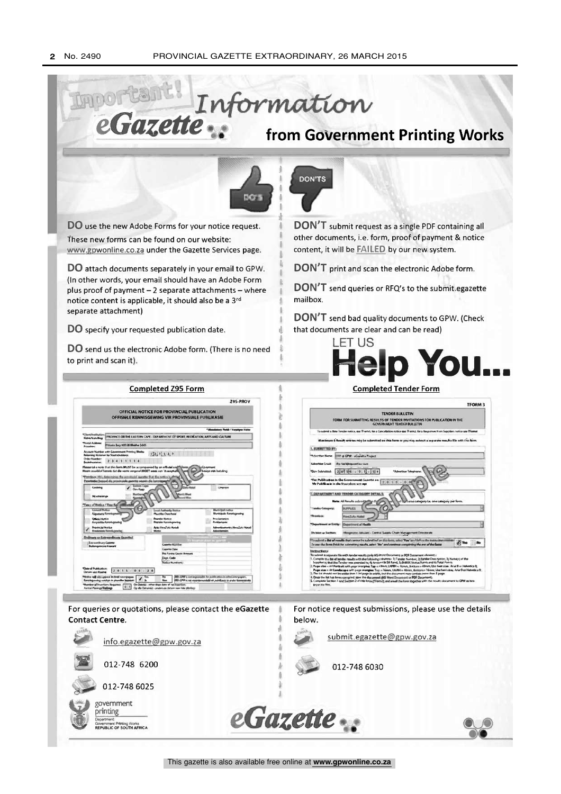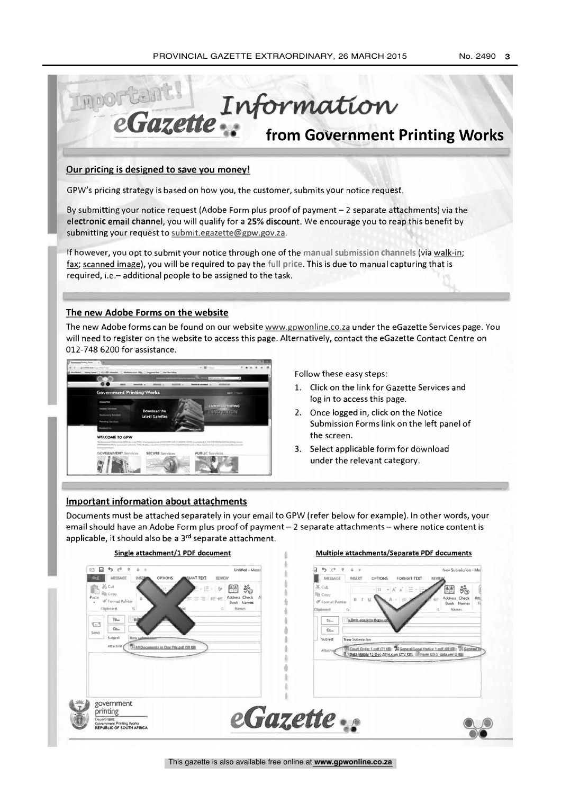No. 2490 3



#### Our pricing is designed to save you money!

GPW's pricing strategy is based on how you, the customer, submits your notice request.

By submitting your notice request (Adobe Form plus proof of payment - 2 separate attachments) via the electronic email channel, you will qualify for a 25% discount. We encourage you to reap this benefit by submitting your request to submit.egazette@gpw.gov.za.

If however, you opt to submit your notice through one of the manual submission channels (via walk-in; fax; scanned image), you will be required to pay the full price. This is due to manual capturing that is required, i.e.- additional people to be assigned to the task.

## The new Adobe Forms on the website

The new Adobe forms can be found on our website www.gpwonline.co.za under the eGazette Services page. You will need to register on the website to access this page. Alternatively, contact the eGazette Contact Centre on 012-748 6200 for assistance.



Follow these easy steps:

- 1. Click on the link for Gazette Services and log in to access this page.
- 2. Once logged in, click on the Notice Submission Forms link on the left panel of the screen.
- 3. Select applicable form for download under the relevant category.

## Important information about attachments

Documents must be attached separately in your email to GPW (refer below for example). In other words, your email should have an Adobe Form plus proof of payment - 2 separate attachments - where notice content is applicable, it should also be a 3rd separate attachment.

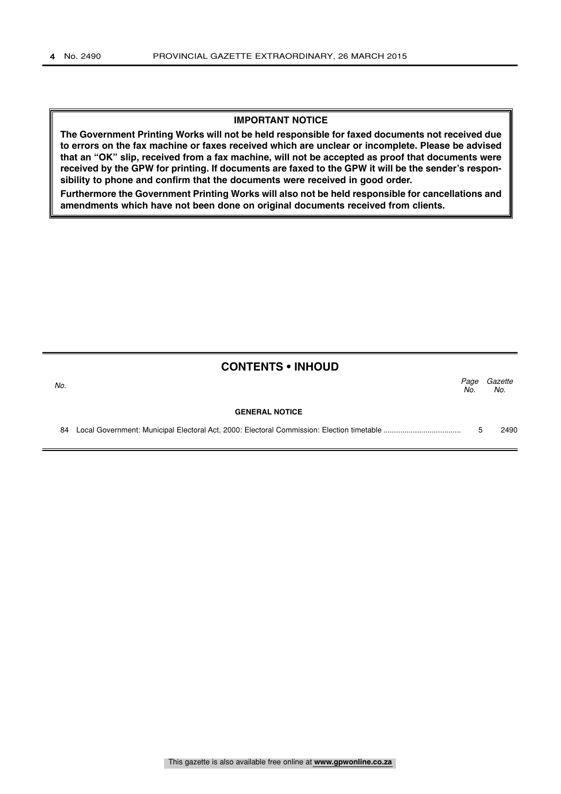#### **IMPORTANT NOTICE**

**The Government Printing Works will not be held responsible for faxed documents not received due to errors on the fax machine or faxes received which are unclear or incomplete. Please be advised that an "OK" slip, received from a fax machine, will not be accepted as proof that documents were received by the GPW for printing. If documents are faxed to the GPW it will be the sender's responsibility to phone and confirm that the documents were received in good order.**

**Furthermore the Government Printing Works will also not be held responsible for cancellations and amendments which have not been done on original documents received from clients.**

|     | <b>CONTENTS • INHOUD</b> |             |                |
|-----|--------------------------|-------------|----------------|
| No. |                          | Page<br>No. | Gazette<br>No. |
|     | <b>GENERAL NOTICE</b>    |             |                |
| 84  |                          | 5           | 2490           |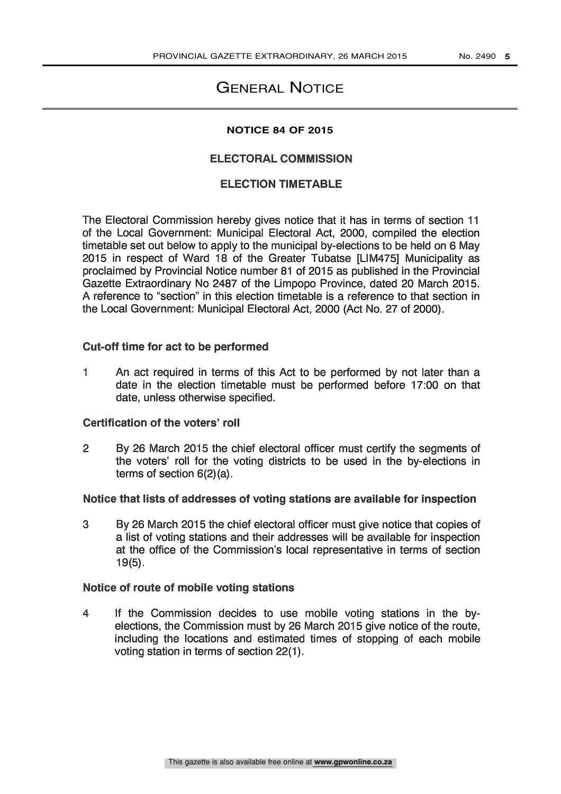# GENERAL NOTICE

#### **NOTICE 84 OF 2015**

#### ELECTORAL COMMISSION

## **ELECTION TIMETABLE**

The Electoral Commission hereby gives notice that it has in terms of section 11 of the Local Government: Municipal Electoral Act, 2000, compiled the election timetable set out below to apply to the municipal by-elections to be held on 6 May 2015 in respect of Ward 18 of the Greater Tubatse [LIM475] Municipality as proclaimed by Provincial Notice number 81 of 2015 as published in the Provincial Gazette Extraordinary No 2487 of the Limpopo Province, dated 20 March 2015. A reference to "section" in this election timetable is a reference to that section in the Local Government: Municipal Electoral Act, 2000 (Act No. 27 of 2000).

#### Cut-off time for act to be performed

1 An act required in terms of this Act to be performed by not later than a date in the election timetable must be performed before 17:00 on that date, unless otherwise specified.

#### Certification of the voters' roll

2 By 26 March 2015 the chief electoral officer must certify the segments of the voters' roll for the voting districts to be used in the by-elections in terms of section 6(2)(a).

#### Notice that lists of addresses of voting stations are available for inspection

3 By 26 March 2015 the chief electoral officer must give notice that copies of a list of voting stations and their addresses will be available for inspection at the office of the Commission's local representative in terms of section 19(5).

#### Notice of route of mobile voting stations

4 If the Commission decides to use mobile voting stations in the byelections, the Commission must by 26 March 2015 give notice of the route, including the locations and estimated times of stopping of each mobile voting station in terms of section 22(1).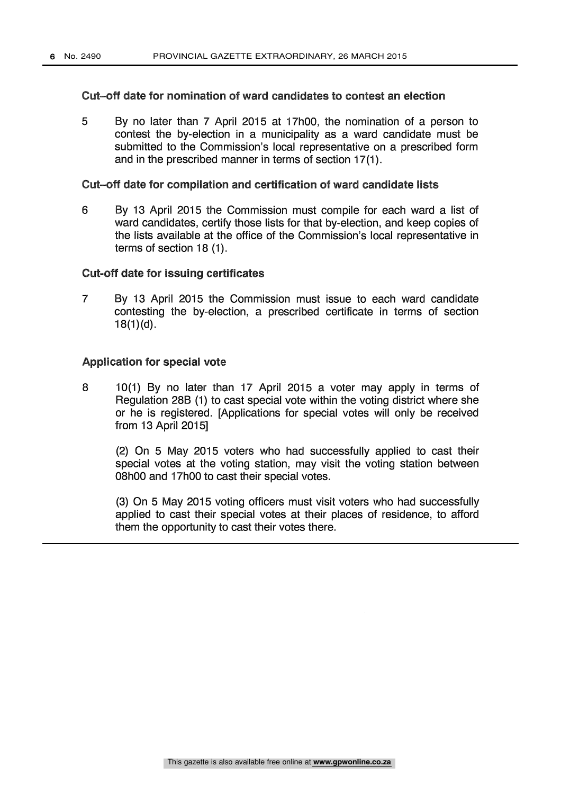#### Cut-off date for nomination of ward candidates to contest an election

5 By no later than 7 April 2015 at 17h00, the nomination of a person to contest the by-election in a municipality as a ward candidate must be submitted to the Commission's local representative on a prescribed form and in the prescribed manner in terms of section 17(1).

#### Cut-off date for compilation and certification of ward candidate lists

6 By 13 April 2015 the Commission must compile for each ward a list of ward candidates, certify those lists for that by-election, and keep copies of the lists available at the office of the Commission's local representative in terms of section 18 (1).

#### Cut-off date for issuing certificates

7 By 13 April 2015 the Commission must issue to each ward candidate contesting the by-election, a prescribed certificate in terms of section  $18(1)(d)$ .

#### Application for special vote

8 10(1) By no later than 17 April 2015 a voter may apply in terms of Regulation 28B (1) to cast special vote within the voting district where she or he is registered. [Applications for special votes will only be received from 13 April 2015]

(2) On 5 May 2015 voters who had successfully applied to cast their special votes at the voting station, may visit the voting station between 08h00 and 17h00 to cast their special votes.

(3) On 5 May 2015 voting officers must visit voters who had successfully applied to cast their special votes at their places of residence, to afford them the opportunity to cast their votes there.